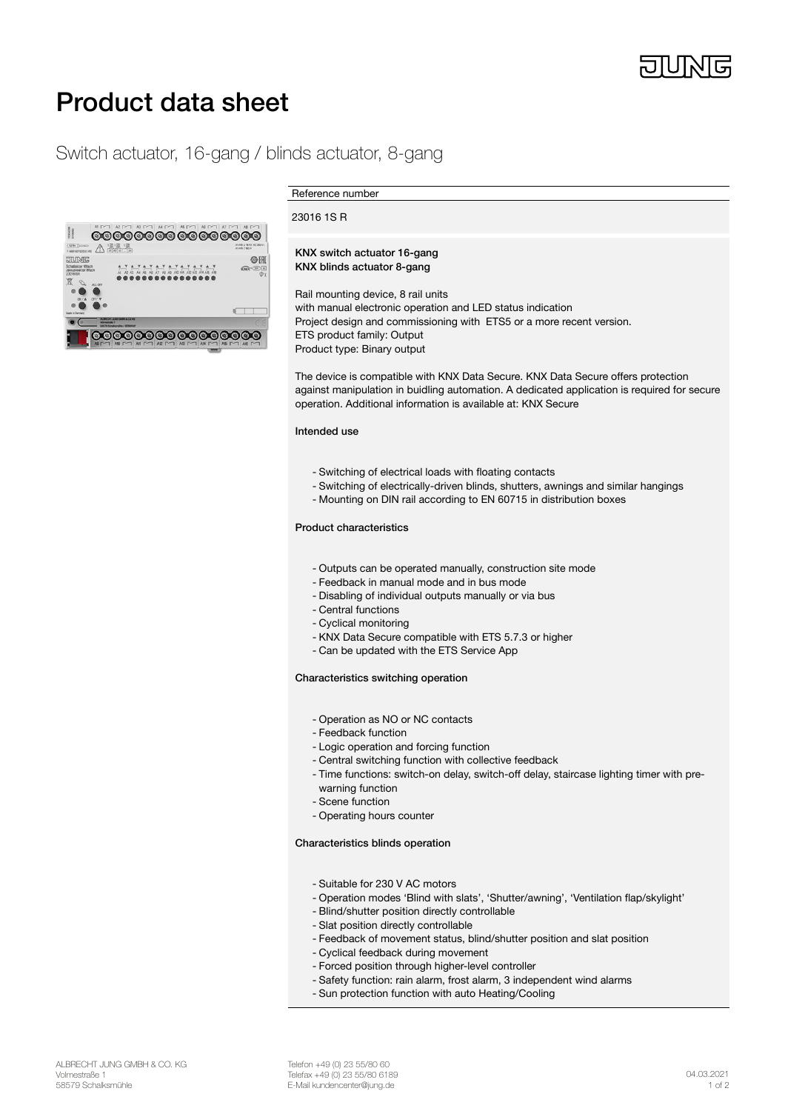

# Product data sheet

# Switch actuator, 16-gang / blinds actuator, 8-gang



Reference number

#### 23016 1S R

#### KNX switch actuator 16-gang KNX blinds actuator 8-gang

Rail mounting device, 8 rail units with manual electronic operation and LED status indication Project design and commissioning with ETS5 or a more recent version. ETS product family: Output Product type: Binary output

The device is compatible with KNX Data Secure. KNX Data Secure offers protection against manipulation in buidling automation. A dedicated application is required for secure operation. Additional information is available at: KNX Secure

## Intended use

- Switching of electrical loads with floating contacts
- Switching of electrically-driven blinds, shutters, awnings and similar hangings
- Mounting on DIN rail according to EN 60715 in distribution boxes

### Product characteristics

- Outputs can be operated manually, construction site mode
- Feedback in manual mode and in bus mode
- Disabling of individual outputs manually or via bus
- Central functions
- Cyclical monitoring
- KNX Data Secure compatible with ETS 5.7.3 or higher
- Can be updated with the ETS Service App

#### Characteristics switching operation

- Operation as NO or NC contacts
- Feedback function
- Logic operation and forcing function
- Central switching function with collective feedback
- Time functions: switch-on delay, switch-off delay, staircase lighting timer with prewarning function
- Scene function
- Operating hours counter

## Characteristics blinds operation

- Suitable for 230 V AC motors
- Operation modes 'Blind with slats', 'Shutter/awning', 'Ventilation flap/skylight'
- Blind/shutter position directly controllable
- Slat position directly controllable
- Feedback of movement status, blind/shutter position and slat position
- Cyclical feedback during movement
- Forced position through higher-level controller
- Safety function: rain alarm, frost alarm, 3 independent wind alarms
- Sun protection function with auto Heating/Cooling